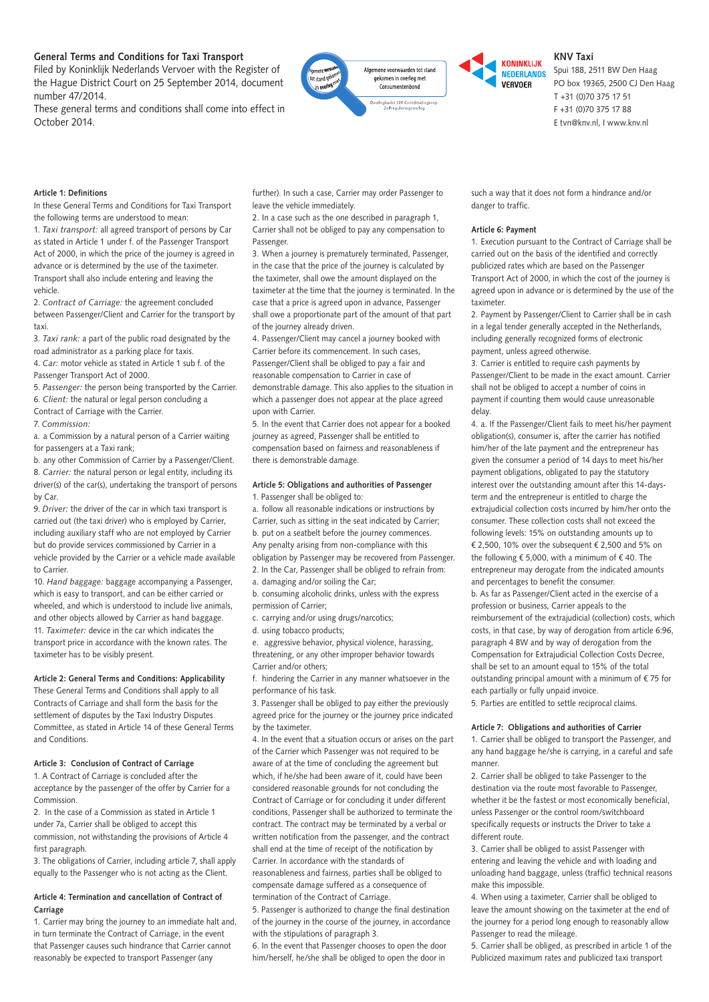# **General Terms and Conditions for Taxi Transport**

Filed by Koninklijk Nederlands Vervoer with the Register of the Hague District Court on 25 September 2014, document number 47/2014.

These general terms and conditions shall come into effect in October 2014.





# **KNV Taxi**

Spui 188, 2511 BW Den Haag PO box 19365, 2500 CJ Den Haag T +31 (0)70 375 17 51 F +31 (0)70 375 17 88 E tvn@knv.nl, I www.knv.nl

### **Article 1: Definitions**

In these General Terms and Conditions for Taxi Transport the following terms are understood to mean:

1. *Taxi transport:* all agreed transport of persons by Car as stated in Article 1 under f. of the Passenger Transport Act of 2000, in which the price of the journey is agreed in advance or is determined by the use of the taximeter. Transport shall also include entering and leaving the vehicle.

2. *Contract of Carriage:* the agreement concluded between Passenger/Client and Carrier for the transport by taxi.

3. *Taxi rank:* a part of the public road designated by the road administrator as a parking place for taxis.

4. *Car:* motor vehicle as stated in Article 1 sub f. of the Passenger Transport Act of 2000.

5. *Passenger:* the person being transported by the Carrier. 6. *Client:* the natural or legal person concluding a

Contract of Carriage with the Carrier.

7. *Commission:*

a. a Commission by a natural person of a Carrier waiting for passengers at a Taxi rank;

b. any other Commission of Carrier by a Passenger/Client. 8. *Carrier:* the natural person or legal entity, including its driver(s) of the car(s), undertaking the transport of persons by Car.

9. *Driver:* the driver of the car in which taxi transport is carried out (the taxi driver) who is employed by Carrier, including auxiliary staff who are not employed by Carrier but do provide services commissioned by Carrier in a vehicle provided by the Carrier or a vehicle made available to Carrier.

10. *Hand baggage:* baggage accompanying a Passenger, which is easy to transport, and can be either carried or wheeled, and which is understood to include live animals, and other objects allowed by Carrier as hand baggage. 11. *Taximeter:* device in the car which indicates the transport price in accordance with the known rates. The taximeter has to be visibly present.

## **Article 2: General Terms and Conditions: Applicability**

These General Terms and Conditions shall apply to all Contracts of Carriage and shall form the basis for the settlement of disputes by the Taxi Industry Disputes Committee, as stated in Article 14 of these General Terms and Conditions.

## **Article 3: Conclusion of Contract of Carriage**

1. A Contract of Carriage is concluded after the acceptance by the passenger of the offer by Carrier for a Commission.

2. In the case of a Commission as stated in Article 1 under 7a, Carrier shall be obliged to accept this commission, not withstanding the provisions of Article 4 first paragraph.

3. The obligations of Carrier, including article 7, shall apply equally to the Passenger who is not acting as the Client.

## **Article 4: Termination and cancellation of Contract of Carriage**

1. Carrier may bring the journey to an immediate halt and, in turn terminate the Contract of Carriage, in the event that Passenger causes such hindrance that Carrier cannot reasonably be expected to transport Passenger (any

further). In such a case, Carrier may order Passenger to leave the vehicle immediately.

2. In a case such as the one described in paragraph 1, Carrier shall not be obliged to pay any compensation to Passenger.

3. When a journey is prematurely terminated, Passenger, in the case that the price of the journey is calculated by the taximeter, shall owe the amount displayed on the taximeter at the time that the journey is terminated. In the case that a price is agreed upon in advance, Passenger shall owe a proportionate part of the amount of that part of the journey already driven.

4. Passenger/Client may cancel a journey booked with Carrier before its commencement. In such cases, Passenger/Client shall be obliged to pay a fair and reasonable compensation to Carrier in case of demonstrable damage. This also applies to the situation in which a passenger does not appear at the place agreed upon with Carrier.

5. In the event that Carrier does not appear for a booked journey as agreed, Passenger shall be entitled to compensation based on fairness and reasonableness if there is demonstrable damage.

#### **Article 5: Obligations and authorities of Passenger** 1. Passenger shall be obliged to:

a. follow all reasonable indications or instructions by Carrier, such as sitting in the seat indicated by Carrier; b. put on a seatbelt before the journey commences. Any penalty arising from non-compliance with this obligation by Passenger may be recovered from Passenger. 2. In the Car, Passenger shall be obliged to refrain from: a. damaging and/or soiling the Car;

b. consuming alcoholic drinks, unless with the express permission of Carrier;

c. carrying and/or using drugs/narcotics;

d. using tobacco products;

e. aggressive behavior, physical violence, harassing, threatening, or any other improper behavior towards Carrier and/or others;

f. hindering the Carrier in any manner whatsoever in the performance of his task.

3. Passenger shall be obliged to pay either the previously agreed price for the journey or the journey price indicated by the taximeter.

4. In the event that a situation occurs or arises on the part of the Carrier which Passenger was not required to be aware of at the time of concluding the agreement but which, if he/she had been aware of it, could have been considered reasonable grounds for not concluding the Contract of Carriage or for concluding it under different conditions, Passenger shall be authorized to terminate the contract. The contract may be terminated by a verbal or written notification from the passenger, and the contract shall end at the time of receipt of the notification by Carrier. In accordance with the standards of reasonableness and fairness, parties shall be obliged to compensate damage suffered as a consequence of termination of the Contract of Carriage.

5. Passenger is authorized to change the final destination of the journey in the course of the journey, in accordance with the stipulations of paragraph 3.

6. In the event that Passenger chooses to open the door him/herself, he/she shall be obliged to open the door in

such a way that it does not form a hindrance and/or danger to traffic.

## **Article 6: Payment**

1. Execution pursuant to the Contract of Carriage shall be carried out on the basis of the identified and correctly publicized rates which are based on the Passenger Transport Act of 2000, in which the cost of the journey is agreed upon in advance or is determined by the use of the taximeter.

2. Payment by Passenger/Client to Carrier shall be in cash in a legal tender generally accepted in the Netherlands, including generally recognized forms of electronic payment, unless agreed otherwise.

3. Carrier is entitled to require cash payments by Passenger/Client to be made in the exact amount. Carrier shall not be obliged to accept a number of coins in payment if counting them would cause unreasonable delay.

4. a. If the Passenger/Client fails to meet his/her payment obligation(s), consumer is, after the carrier has notified him/her of the late payment and the entrepreneur has given the consumer a period of 14 days to meet his/her payment obligations, obligated to pay the statutory interest over the outstanding amount after this 14-daysterm and the entrepreneur is entitled to charge the extrajudicial collection costs incurred by him/her onto the consumer. These collection costs shall not exceed the following levels: 15% on outstanding amounts up to € 2,500, 10% over the subsequent € 2,500 and 5% on the following  $\epsilon$  5,000, with a minimum of  $\epsilon$  40. The entrepreneur may derogate from the indicated amounts and percentages to benefit the consumer.

b. As far as Passenger/Client acted in the exercise of a profession or business, Carrier appeals to the reimbursement of the extrajudicial (collection) costs, which costs, in that case, by way of derogation from article 6:96, paragraph 4 BW and by way of derogation from the Compensation for Extrajudicial Collection Costs Decree, shall be set to an amount equal to 15% of the total outstanding principal amount with a minimum of € 75 for each partially or fully unpaid invoice.

5. Parties are entitled to settle reciprocal claims.

#### **Article 7: Obligations and authorities of Carrier**

1. Carrier shall be obliged to transport the Passenger, and any hand baggage he/she is carrying, in a careful and safe manner.

2. Carrier shall be obliged to take Passenger to the destination via the route most favorable to Passenger, whether it be the fastest or most economically beneficial unless Passenger or the control room/switchboard specifically requests or instructs the Driver to take a different route.

3. Carrier shall be obliged to assist Passenger with entering and leaving the vehicle and with loading and unloading hand baggage, unless (traffic) technical reasons make this impossible.

4. When using a taximeter, Carrier shall be obliged to leave the amount showing on the taximeter at the end of the journey for a period long enough to reasonably allow Passenger to read the mileage.

5. Carrier shall be obliged, as prescribed in article 1 of the Publicized maximum rates and publicized taxi transport